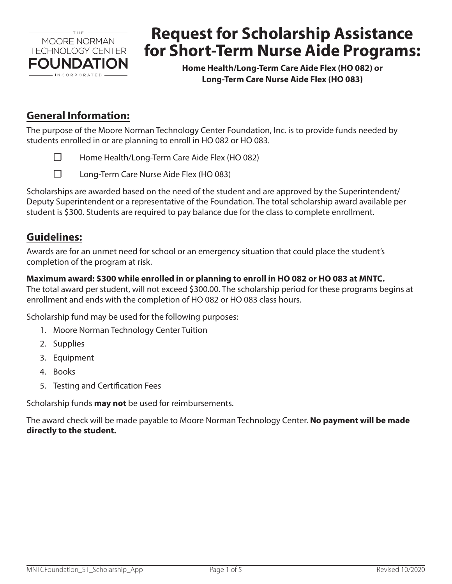

# **Request for Scholarship Assistance for Short-Term Nurse Aide Programs:**

**Home Health/Long-Term Care Aide Flex (HO 082) or Long-Term Care Nurse Aide Flex (HO 083)**

## **General Information:**

The purpose of the Moore Norman Technology Center Foundation, Inc. is to provide funds needed by students enrolled in or are planning to enroll in HO 082 or HO 083.

- ☐ Home Health/Long-Term Care Aide Flex (HO 082)
- ☐ Long-Term Care Nurse Aide Flex (HO 083)

Scholarships are awarded based on the need of the student and are approved by the Superintendent/ Deputy Superintendent or a representative of the Foundation. The total scholarship award available per student is \$300. Students are required to pay balance due for the class to complete enrollment.

## **Guidelines:**

Awards are for an unmet need for school or an emergency situation that could place the student's completion of the program at risk.

#### **Maximum award: \$300 while enrolled in or planning to enroll in HO 082 or HO 083 at MNTC.**

The total award per student, will not exceed \$300.00. The scholarship period for these programs begins at enrollment and ends with the completion of HO 082 or HO 083 class hours.

Scholarship fund may be used for the following purposes:

- 1. Moore Norman Technology Center Tuition
- 2. Supplies
- 3. Equipment
- 4. Books
- 5. Testing and Certification Fees

Scholarship funds **may not** be used for reimbursements.

The award check will be made payable to Moore Norman Technology Center. **No payment will be made directly to the student.**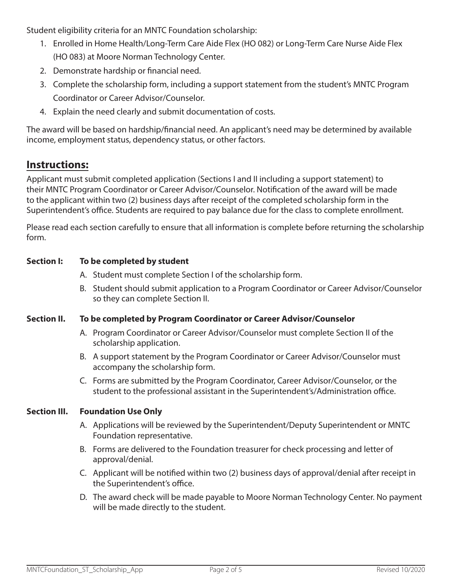Student eligibility criteria for an MNTC Foundation scholarship:

- 1. Enrolled in Home Health/Long-Term Care Aide Flex (HO 082) or Long-Term Care Nurse Aide Flex (HO 083) at Moore Norman Technology Center.
- 2. Demonstrate hardship or financial need.
- 3. Complete the scholarship form, including a support statement from the student's MNTC Program Coordinator or Career Advisor/Counselor.
- 4. Explain the need clearly and submit documentation of costs.

The award will be based on hardship/financial need. An applicant's need may be determined by available income, employment status, dependency status, or other factors.

## **Instructions:**

Applicant must submit completed application (Sections I and II including a support statement) to their MNTC Program Coordinator or Career Advisor/Counselor. Notification of the award will be made to the applicant within two (2) business days after receipt of the completed scholarship form in the Superintendent's office. Students are required to pay balance due for the class to complete enrollment.

Please read each section carefully to ensure that all information is complete before returning the scholarship form.

#### **Section I: To be completed by student**

- A. Student must complete Section I of the scholarship form.
- B. Student should submit application to a Program Coordinator or Career Advisor/Counselor so they can complete Section II.

#### **Section II. To be completed by Program Coordinator or Career Advisor/Counselor**

- A. Program Coordinator or Career Advisor/Counselor must complete Section II of the scholarship application.
- B. A support statement by the Program Coordinator or Career Advisor/Counselor must accompany the scholarship form.
- C. Forms are submitted by the Program Coordinator, Career Advisor/Counselor, or the student to the professional assistant in the Superintendent's/Administration office.

#### **Section III. Foundation Use Only**

- A. Applications will be reviewed by the Superintendent/Deputy Superintendent or MNTC Foundation representative.
- B. Forms are delivered to the Foundation treasurer for check processing and letter of approval/denial.
- C. Applicant will be notified within two (2) business days of approval/denial after receipt in the Superintendent's office.
- D. The award check will be made payable to Moore Norman Technology Center. No payment will be made directly to the student.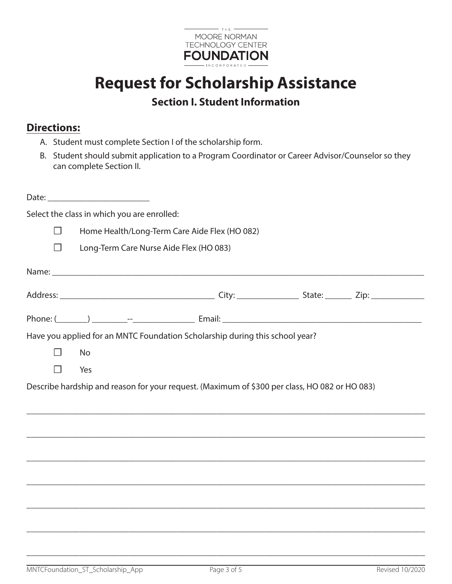

## **Request for Scholarship Assistance Section I. Student Information**

## **Directions:**

- A. Student must complete Section I of the scholarship form.
- B. Student should submit application to a Program Coordinator or Career Advisor/Counselor so they can complete Section II.

|   |           | Select the class in which you are enrolled: |                                                                                               |  |
|---|-----------|---------------------------------------------|-----------------------------------------------------------------------------------------------|--|
| П |           |                                             | Home Health/Long-Term Care Aide Flex (HO 082)                                                 |  |
| ┓ |           |                                             | Long-Term Care Nurse Aide Flex (HO 083)                                                       |  |
|   |           |                                             |                                                                                               |  |
|   |           |                                             |                                                                                               |  |
|   |           |                                             |                                                                                               |  |
|   |           |                                             | Have you applied for an MNTC Foundation Scholarship during this school year?                  |  |
|   | <b>No</b> |                                             |                                                                                               |  |
|   | Yes       |                                             |                                                                                               |  |
|   |           |                                             | Describe hardship and reason for your request. (Maximum of \$300 per class, HO 082 or HO 083) |  |
|   |           |                                             |                                                                                               |  |
|   |           |                                             |                                                                                               |  |
|   |           |                                             |                                                                                               |  |
|   |           |                                             |                                                                                               |  |
|   |           |                                             |                                                                                               |  |
|   |           |                                             |                                                                                               |  |
|   |           |                                             |                                                                                               |  |
|   |           |                                             |                                                                                               |  |

\_\_\_\_\_\_\_\_\_\_\_\_\_\_\_\_\_\_\_\_\_\_\_\_\_\_\_\_\_\_\_\_\_\_\_\_\_\_\_\_\_\_\_\_\_\_\_\_\_\_\_\_\_\_\_\_\_\_\_\_\_\_\_\_\_\_\_\_\_\_\_\_\_\_\_\_\_\_\_\_\_\_\_\_\_\_\_\_\_\_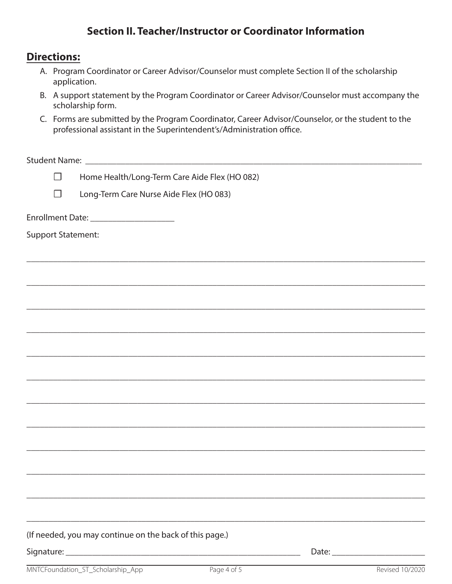## **Section II. Teacher/Instructor or Coordinator Information**

#### **Directions:**

| A. Program Coordinator or Career Advisor/Counselor must complete Section II of the scholarship |
|------------------------------------------------------------------------------------------------|
| application.                                                                                   |

- B. A support statement by the Program Coordinator or Career Advisor/Counselor must accompany the scholarship form.
- C. Forms are submitted by the Program Coordinator, Career Advisor/Counselor, or the student to the professional assistant in the Superintendent's/Administration office.

\_\_\_\_\_\_\_\_\_\_\_\_\_\_\_\_\_\_\_\_\_\_\_\_\_\_\_\_\_\_\_\_\_\_\_\_\_\_\_\_\_\_\_\_\_\_\_\_\_\_\_\_\_\_\_\_\_\_\_\_\_\_\_\_\_\_\_\_\_\_\_\_\_\_\_\_\_\_\_\_\_\_\_\_\_\_\_\_\_\_

\_\_\_\_\_\_\_\_\_\_\_\_\_\_\_\_\_\_\_\_\_\_\_\_\_\_\_\_\_\_\_\_\_\_\_\_\_\_\_\_\_\_\_\_\_\_\_\_\_\_\_\_\_\_\_\_\_\_\_\_\_\_\_\_\_\_\_\_\_\_\_\_\_\_\_\_\_\_\_\_\_\_\_\_\_\_\_\_\_\_

\_\_\_\_\_\_\_\_\_\_\_\_\_\_\_\_\_\_\_\_\_\_\_\_\_\_\_\_\_\_\_\_\_\_\_\_\_\_\_\_\_\_\_\_\_\_\_\_\_\_\_\_\_\_\_\_\_\_\_\_\_\_\_\_\_\_\_\_\_\_\_\_\_\_\_\_\_\_\_\_\_\_\_\_\_\_\_\_\_\_

\_\_\_\_\_\_\_\_\_\_\_\_\_\_\_\_\_\_\_\_\_\_\_\_\_\_\_\_\_\_\_\_\_\_\_\_\_\_\_\_\_\_\_\_\_\_\_\_\_\_\_\_\_\_\_\_\_\_\_\_\_\_\_\_\_\_\_\_\_\_\_\_\_\_\_\_\_\_\_\_\_\_\_\_\_\_\_\_\_\_

\_\_\_\_\_\_\_\_\_\_\_\_\_\_\_\_\_\_\_\_\_\_\_\_\_\_\_\_\_\_\_\_\_\_\_\_\_\_\_\_\_\_\_\_\_\_\_\_\_\_\_\_\_\_\_\_\_\_\_\_\_\_\_\_\_\_\_\_\_\_\_\_\_\_\_\_\_\_\_\_\_\_\_\_\_\_\_\_\_\_

\_\_\_\_\_\_\_\_\_\_\_\_\_\_\_\_\_\_\_\_\_\_\_\_\_\_\_\_\_\_\_\_\_\_\_\_\_\_\_\_\_\_\_\_\_\_\_\_\_\_\_\_\_\_\_\_\_\_\_\_\_\_\_\_\_\_\_\_\_\_\_\_\_\_\_\_\_\_\_\_\_\_\_\_\_\_\_\_\_\_

\_\_\_\_\_\_\_\_\_\_\_\_\_\_\_\_\_\_\_\_\_\_\_\_\_\_\_\_\_\_\_\_\_\_\_\_\_\_\_\_\_\_\_\_\_\_\_\_\_\_\_\_\_\_\_\_\_\_\_\_\_\_\_\_\_\_\_\_\_\_\_\_\_\_\_\_\_\_\_\_\_\_\_\_\_\_\_\_\_\_

\_\_\_\_\_\_\_\_\_\_\_\_\_\_\_\_\_\_\_\_\_\_\_\_\_\_\_\_\_\_\_\_\_\_\_\_\_\_\_\_\_\_\_\_\_\_\_\_\_\_\_\_\_\_\_\_\_\_\_\_\_\_\_\_\_\_\_\_\_\_\_\_\_\_\_\_\_\_\_\_\_\_\_\_\_\_\_\_\_\_

\_\_\_\_\_\_\_\_\_\_\_\_\_\_\_\_\_\_\_\_\_\_\_\_\_\_\_\_\_\_\_\_\_\_\_\_\_\_\_\_\_\_\_\_\_\_\_\_\_\_\_\_\_\_\_\_\_\_\_\_\_\_\_\_\_\_\_\_\_\_\_\_\_\_\_\_\_\_\_\_\_\_\_\_\_\_\_\_\_\_

\_\_\_\_\_\_\_\_\_\_\_\_\_\_\_\_\_\_\_\_\_\_\_\_\_\_\_\_\_\_\_\_\_\_\_\_\_\_\_\_\_\_\_\_\_\_\_\_\_\_\_\_\_\_\_\_\_\_\_\_\_\_\_\_\_\_\_\_\_\_\_\_\_\_\_\_\_\_\_\_\_\_\_\_\_\_\_\_\_\_

\_\_\_\_\_\_\_\_\_\_\_\_\_\_\_\_\_\_\_\_\_\_\_\_\_\_\_\_\_\_\_\_\_\_\_\_\_\_\_\_\_\_\_\_\_\_\_\_\_\_\_\_\_\_\_\_\_\_\_\_\_\_\_\_\_\_\_\_\_\_\_\_\_\_\_\_\_\_\_\_\_\_\_\_\_\_\_\_\_\_

\_\_\_\_\_\_\_\_\_\_\_\_\_\_\_\_\_\_\_\_\_\_\_\_\_\_\_\_\_\_\_\_\_\_\_\_\_\_\_\_\_\_\_\_\_\_\_\_\_\_\_\_\_\_\_\_\_\_\_\_\_\_\_\_\_\_\_\_\_\_\_\_\_\_\_\_\_\_\_\_\_\_\_\_\_\_\_\_\_\_

Student Name: <u>and the student</u> of the student  $\sum_{i=1}^{n}$  and  $\sum_{i=1}^{n}$  and  $\sum_{i=1}^{n}$  and  $\sum_{i=1}^{n}$  and  $\sum_{i=1}^{n}$  and  $\sum_{i=1}^{n}$  and  $\sum_{i=1}^{n}$  and  $\sum_{i=1}^{n}$  and  $\sum_{i=1}^{n}$  and  $\sum_{i=1}^{n}$  and  $\sum_{i$ 

☐ Home Health/Long-Term Care Aide Flex (HO 082)

☐ Long-Term Care Nurse Aide Flex (HO 083)

Enrollment Date: \_\_\_\_\_\_\_\_\_\_\_\_\_\_\_\_\_\_\_

Support Statement:

(If needed, you may continue on the back of this page.)

Signature: \_\_\_\_\_\_\_\_\_\_\_\_\_\_\_\_\_\_\_\_\_\_\_\_\_\_\_\_\_\_\_\_\_\_\_\_\_\_\_\_\_\_\_\_\_\_\_\_\_\_\_\_\_ Date: \_\_\_\_\_\_\_\_\_\_\_\_\_\_\_\_\_\_\_\_\_